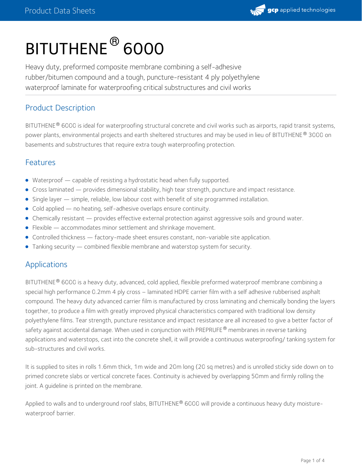

# BITUTHENE ® 6000

Heavy duty, preformed composite membrane combining a self-adhesive rubber/bitumen compound and a tough, puncture-resistant 4 ply polyethylene waterproof laminate for waterproofing critical substructures and civil works

# Product Description

BITUTHENE® 6000 is ideal for waterproofing structural concrete and civil works such as airports, rapid transit systems, power plants, environmental projects and earth sheltered structures and may be used in lieu of BITUTHENE® 3000 on basements and substructures that require extra tough waterproofing protection.

#### Features

- Waterproof capable of resisting a hydrostatic head when fully supported.
- Cross laminated provides dimensional stability, high tear strength, puncture and impact resistance.
- Single layer simple, reliable, low labour cost with benefit of site programmed installation.
- Cold applied no heating, self-adhesive overlaps ensure continuity.
- Chemically resistant provides effective external protection against aggressive soils and ground water.
- Flexible accommodates minor settlement and shrinkage movement.
- Controlled thickness factory-made sheet ensures constant, non-variable site application.
- $\bullet$  Tanking security combined flexible membrane and waterstop system for security.

## Applications

BITUTHENE® 6000 is a heavy duty, advanced, cold applied, flexible preformed waterproof membrane combining a special high performance 0.2mm 4 ply cross – laminated HDPE carrier film with a self adhesive rubberised asphalt compound. The heavy duty advanced carrier film is manufactured by cross laminating and chemically bonding the layers together, to produce a film with greatly improved physical characteristics compared with traditional low density polyethylene films. Tear strength, puncture resistance and impact resistance are all increased to give a better factor of safety against accidental damage. When used in conjunction with <code>PREPRUFE®</code> membranes in reverse tanking applications and waterstops, cast into the concrete shell, it will provide a continuous waterproofing/ tanking system for sub-structures and civil works.

It is supplied to sites in rolls 1.6mm thick, 1m wide and 20m long (20 sq metres) and is unrolled sticky side down on to primed concrete slabs or vertical concrete faces. Continuity is achieved by overlapping 50mm and firmly rolling the joint. A guideline is printed on the membrane.

Applied to walls and to underground roof slabs, BITUTHENE® 6000 will provide a continuous heavy duty moisturewaterproof barrier.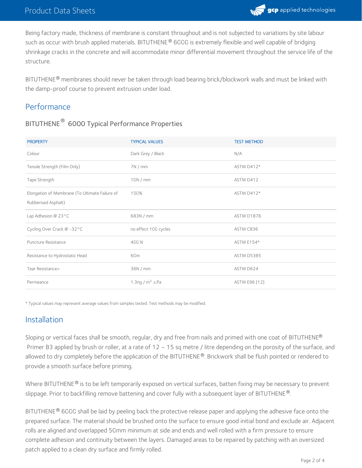

Being factory made, thickness of membrane is constant throughout and is not subjected to variations by site labour such as occur with brush applied materials. BITUTHENE® 6000 is extremely flexible and well capable of bridging shrinkage cracks in the concrete and will accommodate minor differential movement throughout the service life of the structure.

BITUTHENE® membranes should never be taken through load bearing brick/blockwork walls and must be linked with the damp-proof course to prevent extrusion under load.

# **Performance**

# BITUTHENE  $^\circledR$  6000 Typical Performance Properties

| <b>PROPERTY</b>                                | <b>TYPICAL VALUES</b> | <b>TEST METHOD</b> |
|------------------------------------------------|-----------------------|--------------------|
| Colour                                         | Dark Grey / Black     | N/A                |
| Tensile Strength (Film Only)                   | 7N/mm                 | ASTM D412*         |
| Tape Strength                                  | 10N/mm                | ASTM D412          |
| Elongation of Membrane (To Ultimate Failure of | 150%                  | ASTM D412*         |
| Rubberised Asphalt)                            |                       |                    |
| Lap Adhesion $@$ 23 $°C$                       | 683N / mm             | ASTM D1876         |
| Cycling Over Crack @ -32°C                     | no effect 100 cycles  | ASTM C836          |
| Puncture Resistance                            | 400 N                 | ASTM E154*         |
| Resistance to Hydrostatic Head                 | 60m                   | ASTM D5385         |
| Tear Resistance>                               | 36N/mm                | ASTM D624          |
| Permeance                                      | 1.3ng / $m^3$ .s.Pa   | ASTM E96 [12]      |

\* Typical values may represent average values from samples tested. Test methods may be modified.

# Installation

Sloping or vertical faces shall be smooth, regular, dry and free from nails and primed with one coat of BITUTHENE® Primer B3 applied by brush or roller, at a rate of 12 ~ 15 sq metre / litre depending on the porosity of the surface, and allowed to dry completely before the application of the BITUTHENE  $^\circ$ . Brickwork shall be flush pointed or rendered to provide a smooth surface before priming.

Where BITUTHENE® is to be left temporarily exposed on vertical surfaces, batten fixing may be necessary to prevent slippage. Prior to backfilling remove battening and cover fully with a subsequent layer of BITUTHENE  $^\text{\textregistered}$ .

BITUTHENE® 6000 shall be laid by peeling back the protective release paper and applying the adhesive face onto the prepared surface. The material should be brushed onto the surface to ensure good initial bond and exclude air. Adjacent rolls are aligned and overlapped 50mm minimum at side and ends and well rolled with a firm pressure to ensure complete adhesion and continuity between the layers. Damaged areas to be repaired by patching with an oversized patch applied to a clean dry surface and firmly rolled.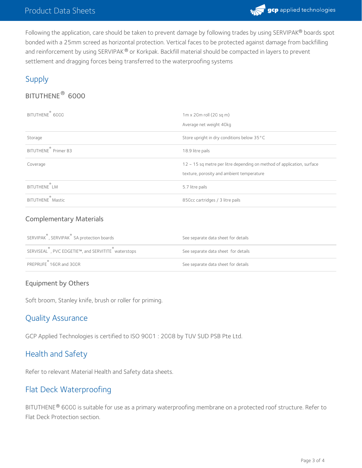

Following the application, care should be taken to prevent damage by following trades by using SERVIPAK® boards spot bonded with a 25mm screed as horizontal protection. Vertical faces to be protected against damage from backfilling and reinforcement by using SERVIPAK® or Korkpak. Backfill material should be compacted in layers to prevent settlement and dragging forces being transferred to the waterproofing systems

# Supply

# $\mathsf{BITUTHENE}^{\circledR}$  6000

| ℗<br>BITUTHENE 6000              | $1m \times 20m$ roll (20 sq m)<br>Average net weight 40kg                                                                |
|----------------------------------|--------------------------------------------------------------------------------------------------------------------------|
| Storage                          | Store upright in dry conditions below 35°C                                                                               |
| BITUTHENE <sup>®</sup> Primer B3 | 18.9 litre pails                                                                                                         |
| Coverage                         | $12 \sim 15$ sq metre per litre depending on method of application, surface<br>texture, porosity and ambient temperature |
| BITUTHENE LM                     | 5.7 litre pails                                                                                                          |
| <b>BITUTHENE</b> Mastic          | 850cc cartridges / 3 litre pails                                                                                         |

#### Complementary Materials

| SERVIPAK <sup>®</sup> , SERVIPAK <sup>®</sup> SA protection boards | See separate data sheet for details |
|--------------------------------------------------------------------|-------------------------------------|
| SERVISEAL , PVC EDGETIE™, and SERVITITE waterstops                 | See separate data sheet for details |
| PREPRUFE <sup>®</sup> 160R and 300R                                | See separate data sheet for details |

## Equipment by Others

Soft broom, Stanley knife, brush or roller for priming.

## Quality Assurance

GCP Applied Technologies is certified to ISO 9001 : 2008 by TUV SUD PSB Pte Ltd.

## Health and Safety

Refer to relevant Material Health and Safety data sheets.

# Flat Deck Waterproofing

BITUTHENE® 6000 is suitable for use as a primary waterproofing membrane on a protected roof structure. Refer to Flat Deck Protection section.